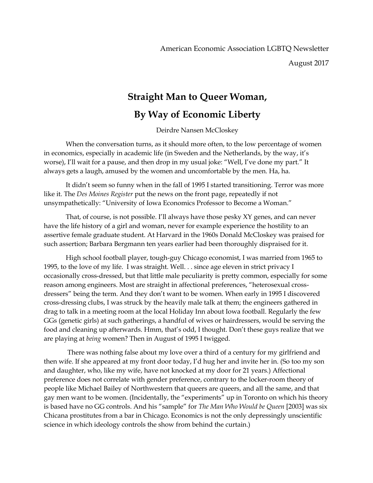August 2017

## **Straight Man to Queer Woman,**

## **By Way of Economic Liberty**

Deirdre Nansen McCloskey

When the conversation turns, as it should more often, to the low percentage of women in economics, especially in academic life (in Sweden and the Netherlands, by the way, it's worse), I'll wait for a pause, and then drop in my usual joke: "Well, I've done my part." It always gets a laugh, amused by the women and uncomfortable by the men. Ha, ha.

It didn't seem so funny when in the fall of 1995 I started transitioning. Terror was more like it. The *Des Moines Register* put the news on the front page, repeatedly if not unsympathetically: "University of Iowa Economics Professor to Become a Woman."

That, of course, is not possible. I'll always have those pesky XY genes, and can never have the life history of a girl and woman, never for example experience the hostility to an assertive female graduate student. At Harvard in the 1960s Donald McCloskey was praised for such assertion; Barbara Bergmann ten years earlier had been thoroughly dispraised for it.

High school football player, tough-guy Chicago economist, I was married from 1965 to 1995, to the love of my life. I was straight. Well. . . since age eleven in strict privacy I occasionally cross-dressed, but that little male peculiarity is pretty common, especially for some reason among engineers. Most are straight in affectional preferences, "heterosexual crossdressers" being the term. And they don't want to be women. When early in 1995 I discovered cross-dressing clubs, I was struck by the heavily male talk at them; the engineers gathered in drag to talk in a meeting room at the local Holiday Inn about Iowa football. Regularly the few GGs (genetic girls) at such gatherings, a handful of wives or hairdressers, would be serving the food and cleaning up afterwards. Hmm, that's odd, I thought. Don't these guys realize that we are playing at *being* women? Then in August of 1995 I twigged.

There was nothing false about my love over a third of a century for my girlfriend and then wife. If she appeared at my front door today, I'd hug her and invite her in. (So too my son and daughter, who, like my wife, have not knocked at my door for 21 years.) Affectional preference does not correlate with gender preference, contrary to the locker-room theory of people like Michael Bailey of Northwestern that queers are queers, and all the same, and that gay men want to be women. (Incidentally, the "experiments" up in Toronto on which his theory is based have no GG controls. And his "sample" for *The Man Who Would be Queen* [2003] was six Chicana prostitutes from a bar in Chicago. Economics is not the only depressingly unscientific science in which ideology controls the show from behind the curtain.)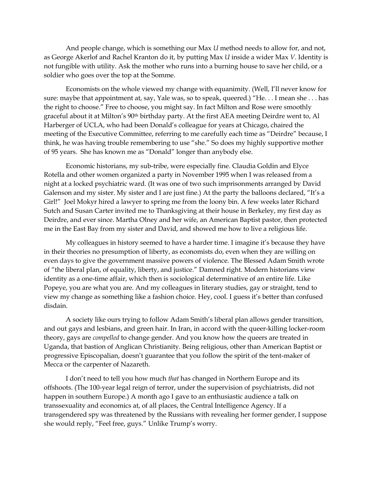And people change, which is something our Max *U* method needs to allow for, and not, as George Akerlof and Rachel Kranton do it, by putting Max *U* inside a wider Max *V*. Identity is not fungible with utility. Ask the mother who runs into a burning house to save her child, or a soldier who goes over the top at the Somme.

Economists on the whole viewed my change with equanimity. (Well, I'll never know for sure: maybe that appointment at, say, Yale was, so to speak, queered.) "He. . . I mean she . . . has the right to choose." Free to choose, you might say. In fact Milton and Rose were smoothly graceful about it at Milton's 90th birthday party. At the first AEA meeting Deirdre went to, Al Harberger of UCLA, who had been Donald's colleague for years at Chicago, chaired the meeting of the Executive Committee, referring to me carefully each time as "Deirdre" because, I think, he was having trouble remembering to use "she." So does my highly supportive mother of 95 years. She has known me as "Donald" longer than anybody else.

Economic historians, my sub-tribe, were especially fine. Claudia Goldin and Elyce Rotella and other women organized a party in November 1995 when I was released from a night at a locked psychiatric ward. (It was one of two such imprisonments arranged by David Galenson and my sister. My sister and I are just fine.) At the party the balloons declared, "It's a Girl!" Joel Mokyr hired a lawyer to spring me from the loony bin. A few weeks later Richard Sutch and Susan Carter invited me to Thanksgiving at their house in Berkeley, my first day as Deirdre, and ever since. Martha Olney and her wife, an American Baptist pastor, then protected me in the East Bay from my sister and David, and showed me how to live a religious life.

My colleagues in history seemed to have a harder time. I imagine it's because they have in their theories no presumption of liberty, as economists do, even when they are willing on even days to give the government massive powers of violence. The Blessed Adam Smith wrote of "the liberal plan, of equality, liberty, and justice." Damned right. Modern historians view identity as a one-time affair, which then is sociological determinative of an entire life. Like Popeye, you are what you are. And my colleagues in literary studies, gay or straight, tend to view my change as something like a fashion choice. Hey, cool. I guess it's better than confused disdain.

A society like ours trying to follow Adam Smith's liberal plan allows gender transition, and out gays and lesbians, and green hair. In Iran, in accord with the queer-killing locker-room theory, gays are *compelled* to change gender. And you know how the queers are treated in Uganda, that bastion of Anglican Christianity. Being religious, other than American Baptist or progressive Episcopalian, doesn't guarantee that you follow the spirit of the tent-maker of Mecca or the carpenter of Nazareth.

I don't need to tell you how much *that* has changed in Northern Europe and its offshoots. (The 100-year legal reign of terror, under the supervision of psychiatrists, did not happen in southern Europe.) A month ago I gave to an enthusiastic audience a talk on transsexuality and economics at, of all places, the Central Intelligence Agency. If a transgendered spy was threatened by the Russians with revealing her former gender, I suppose she would reply, "Feel free, guys." Unlike Trump's worry.